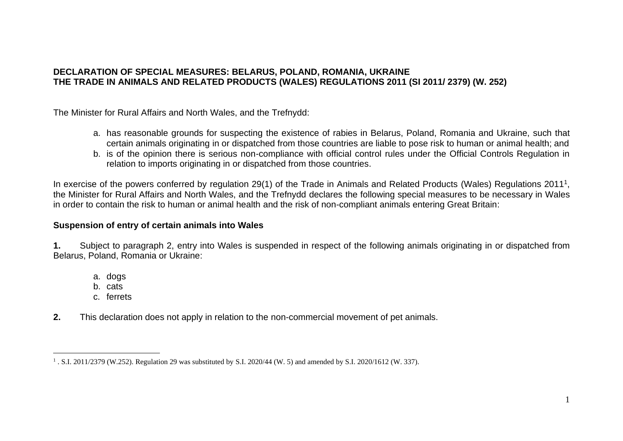### **DECLARATION OF SPECIAL MEASURES: BELARUS, POLAND, ROMANIA, UKRAINE THE TRADE IN ANIMALS AND RELATED PRODUCTS (WALES) REGULATIONS 2011 (SI 2011/ 2379) (W. 252)**

The Minister for Rural Affairs and North Wales, and the Trefnydd:

- a. has reasonable grounds for suspecting the existence of rabies in Belarus, Poland, Romania and Ukraine, such that certain animals originating in or dispatched from those countries are liable to pose risk to human or animal health; and
- b. is of the opinion there is serious non-compliance with official control rules under the Official Controls Regulation in relation to imports originating in or dispatched from those countries.

In exercise of the powers conferred by regulation 29(1) of the Trade in Animals and Related Products (Wales) Regulations 2011<sup>1</sup>, the Minister for Rural Affairs and North Wales, and the Trefnydd declares the following special measures to be necessary in Wales in order to contain the risk to human or animal health and the risk of non-compliant animals entering Great Britain:

### **Suspension of entry of certain animals into Wales**

**1.** Subject to paragraph 2, entry into Wales is suspended in respect of the following animals originating in or dispatched from Belarus, Poland, Romania or Ukraine:

- a. dogs
- b. cats
- c. ferrets
- **2.** This declaration does not apply in relation to the non-commercial movement of pet animals.

<sup>1</sup> . S.I. 2011/2379 (W.252). Regulation 29 was substituted by S.I. 2020/44 (W. 5) and amended by S.I. 2020/1612 (W. 337).